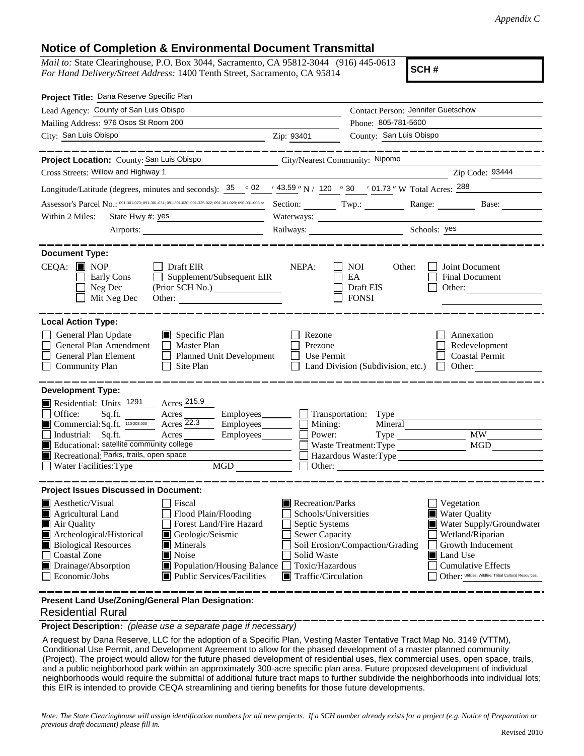## **Notice of Completion & Environmental Document Transmittal**

*Mail to:* State Clearinghouse, P.O. Box 3044, Sacramento, CA 95812-3044 (916) 445-0613 *For Hand Delivery/Street Address:* 1400 Tenth Street, Sacramento, CA 95814

**SCH #**

| Project Title: Dana Reserve Specific Plan                                                                                                                                                                                                                                                                                                                                        |                                                                                                                                       |                                                                    |                                                                                                                                                                                                            |  |
|----------------------------------------------------------------------------------------------------------------------------------------------------------------------------------------------------------------------------------------------------------------------------------------------------------------------------------------------------------------------------------|---------------------------------------------------------------------------------------------------------------------------------------|--------------------------------------------------------------------|------------------------------------------------------------------------------------------------------------------------------------------------------------------------------------------------------------|--|
| Lead Agency: County of San Luis Obispo                                                                                                                                                                                                                                                                                                                                           | Contact Person: Jennifer Guetschow                                                                                                    |                                                                    |                                                                                                                                                                                                            |  |
| Mailing Address: 976 Osos St Room 200                                                                                                                                                                                                                                                                                                                                            |                                                                                                                                       | Phone: 805-781-5600                                                |                                                                                                                                                                                                            |  |
| City: San Luis Obispo                                                                                                                                                                                                                                                                                                                                                            | Zip: 93401                                                                                                                            |                                                                    | County: San Luis Obispo                                                                                                                                                                                    |  |
|                                                                                                                                                                                                                                                                                                                                                                                  |                                                                                                                                       |                                                                    |                                                                                                                                                                                                            |  |
| Project Location: County: San Luis Obispo                                                                                                                                                                                                                                                                                                                                        |                                                                                                                                       | City/Nearest Community: Nipomo                                     |                                                                                                                                                                                                            |  |
| Cross Streets: Willow and Highway 1                                                                                                                                                                                                                                                                                                                                              |                                                                                                                                       |                                                                    | Zip Code: 93444                                                                                                                                                                                            |  |
| Longitude/Latitude (degrees, minutes and seconds): $35 \cdot 02$                                                                                                                                                                                                                                                                                                                 |                                                                                                                                       |                                                                    | $\frac{(43.59)^n}{2}$ N / 120 $\degree$ 30 $\degree$ 01.73 " W Total Acres: $\frac{288}{2}$                                                                                                                |  |
| Assessor's Parcel No.: 091-301-073; 091-301-031; 091-301-030; 091-325-022; 091-301-029; 090-031-003 at                                                                                                                                                                                                                                                                           |                                                                                                                                       |                                                                    | Section: Twp.: Range: Base:                                                                                                                                                                                |  |
| Within 2 Miles:<br>State Hwy #: yes                                                                                                                                                                                                                                                                                                                                              |                                                                                                                                       |                                                                    |                                                                                                                                                                                                            |  |
|                                                                                                                                                                                                                                                                                                                                                                                  |                                                                                                                                       | Railways: Schools: yes                                             |                                                                                                                                                                                                            |  |
| <b>Document Type:</b><br>$CEQA:$ MOP<br>$\Box$ Draft EIR<br>Supplement/Subsequent EIR<br>Early Cons<br>$\perp$<br>Neg Dec<br>Mit Neg Dec<br>Other:                                                                                                                                                                                                                               | NEPA:                                                                                                                                 | NOI<br>Other:<br>EA<br>Draft EIS<br><b>FONSI</b>                   | Joint Document<br><b>Final Document</b><br>Other: $\qquad \qquad$                                                                                                                                          |  |
| <b>Local Action Type:</b><br>General Plan Update<br>Specific Plan<br>General Plan Amendment<br>$\Box$ Master Plan<br><b>General Plan Element</b><br><b>Planned Unit Development</b><br>$\perp$<br><b>Community Plan</b><br>Site Plan                                                                                                                                             | Rezone<br>Prezone<br>Use Permit                                                                                                       | Land Division (Subdivision, etc.)                                  | Annexation<br>Redevelopment<br><b>Coastal Permit</b><br>Other:<br>$\mathbf{I}$                                                                                                                             |  |
| <b>Development Type:</b><br>Residential: Units 1291<br>Acres 215.9<br>Office:<br>Sq.ft.<br>Acres<br>Acres 22.3<br>$\blacksquare$ Commercial: Sq.ft. $\frac{110-203,000}{110-203,000}$<br>Industrial: Sq.ft.<br>Acres<br>Employees________<br>Educational: satellite community college<br>Recreational: Parks, trails, open space<br>MGD<br>Water Facilities: Type                | Mining:<br>Power:                                                                                                                     | Employees Transportation: Type<br>Mineral<br>Waste Treatment: Type | $\overline{\text{MW}}$<br><b>MGD</b><br>Hazardous Waste:Type                                                                                                                                               |  |
| <b>Project Issues Discussed in Document:</b>                                                                                                                                                                                                                                                                                                                                     |                                                                                                                                       |                                                                    |                                                                                                                                                                                                            |  |
| <b>A</b> esthetic/Visual<br>Fiscal<br>Agricultural Land<br>Flood Plain/Flooding<br>Forest Land/Fire Hazard<br>Air Quality<br>Archeological/Historical<br>Geologic/Seismic<br><b>Biological Resources</b><br>$\blacksquare$ Minerals<br><b>Coastal Zone</b><br><b>■</b> Noise<br>Drainage/Absorption<br>Population/Housing Balance<br>Public Services/Facilities<br>Economic/Jobs | Recreation/Parks<br>Schools/Universities<br>Septic Systems<br>Sewer Capacity<br>Solid Waste<br>Toxic/Hazardous<br>Traffic/Circulation | Soil Erosion/Compaction/Grading                                    | Vegetation<br><b>Water Quality</b><br>Water Supply/Groundwater<br>Wetland/Riparian<br>Growth Inducement<br>Land Use<br><b>Cumulative Effects</b><br>Other: Utilities, Wildfire, Tribal Cultural Resources, |  |
| Present Land Use/Zoning/General Plan Designation:                                                                                                                                                                                                                                                                                                                                |                                                                                                                                       |                                                                    |                                                                                                                                                                                                            |  |

## Residential Rural

**Project Description:** *(please use a separate page if necessary)*

 A request by Dana Reserve, LLC for the adoption of a Specific Plan, Vesting Master Tentative Tract Map No. 3149 (VTTM), Conditional Use Permit, and Development Agreement to allow for the phased development of a master planned community (Project). The project would allow for the future phased development of residential uses, flex commercial uses, open space, trails, and a public neighborhood park within an approximately 300-acre specific plan area. Future proposed development of individual neighborhoods would require the submittal of additional future tract maps to further subdivide the neighborhoods into individual lots; this EIR is intended to provide CEQA streamlining and tiering benefits for those future developments.

*Note: The State Clearinghouse will assign identification numbers for all new projects. If a SCH number already exists for a project (e.g. Notice of Preparation or previous draft document) please fill in.*